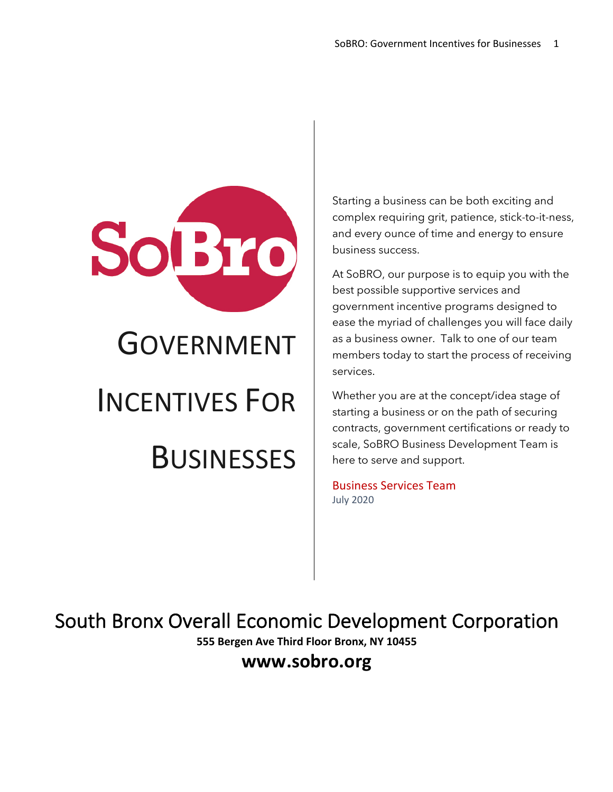

Starting a business can be both exciting and complex requiring grit, patience, stick-to-it-ness, and every ounce of time and energy to ensure business success.

At SoBRO, our purpose is to equip you with the best possible supportive services and government incentive programs designed to ease the myriad of challenges you will face daily as a business owner. Talk to one of our team members today to start the process of receiving services.

Whether you are at the concept/idea stage of starting a business or on the path of securing contracts, government certifications or ready to scale, SoBRO Business Development Team is here to serve and support.

Business Services Team July 2020

South Bronx Overall Economic Development Corporation

**555 Bergen Ave Third Floor Bronx, NY 10455**

**www.sobro.org**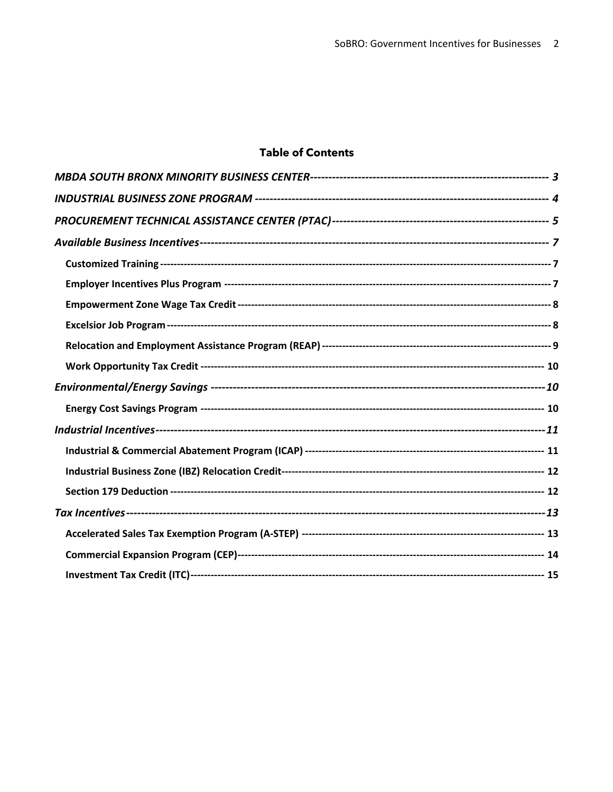### **Table of Contents**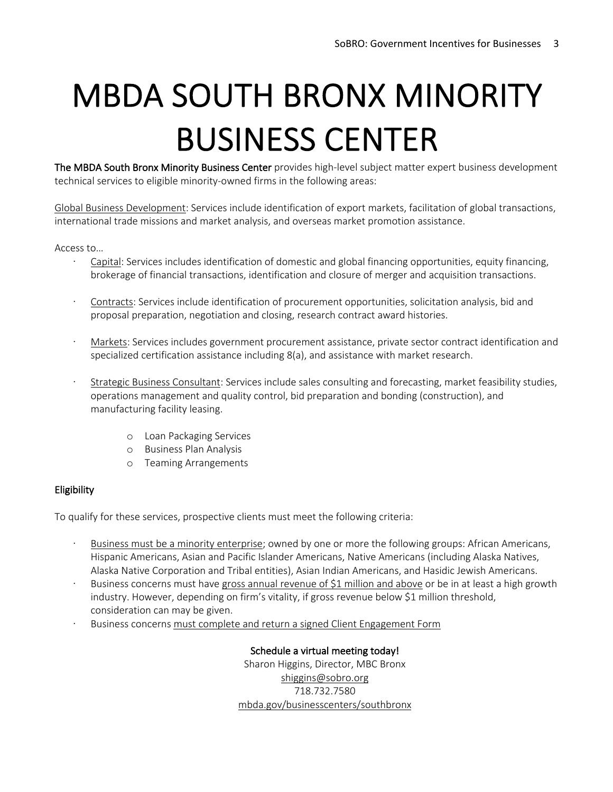# MBDA SOUTH BRONX MINORITY BUSINESS CENTER The MBDA South Bronx Minority Business Center provides high-level subject matter expert business development

technical services to eligible minority-owned firms in the following areas:

Global Business Development: Services include identification of export markets, facilitation of global transactions, international trade missions and market analysis, and overseas market promotion assistance.

Access to…

- · Capital: Services includes identification of domestic and global financing opportunities, equity financing, brokerage of financial transactions, identification and closure of merger and acquisition transactions.
- Contracts: Services include identification of procurement opportunities, solicitation analysis, bid and proposal preparation, negotiation and closing, research contract award histories.
- · Markets: Services includes government procurement assistance, private sector contract identification and specialized certification assistance including 8(a), and assistance with market research.
- · Strategic Business Consultant: Services include sales consulting and forecasting, market feasibility studies, operations management and quality control, bid preparation and bonding (construction), and manufacturing facility leasing.
	- o Loan Packaging Services
	- o Business Plan Analysis
	- o Teaming Arrangements

### Eligibility

To qualify for these services, prospective clients must meet the following criteria:

- Business must be a minority enterprise; owned by one or more the following groups: African Americans, Hispanic Americans, Asian and Pacific Islander Americans, Native Americans (including Alaska Natives, Alaska Native Corporation and Tribal entities), Asian Indian Americans, and Hasidic Jewish Americans.
- Business concerns must have gross annual revenue of \$1 million and above or be in at least a high growth industry. However, depending on firm's vitality, if gross revenue below \$1 million threshold, consideration can may be given.
- Business concerns must complete and return a signed Client Engagement Form

Schedule a virtual meeting today! Sharon Higgins, Director, MBC Bronx shiggins@sobro.org 718.732.7580 mbda.gov/businesscenters/southbronx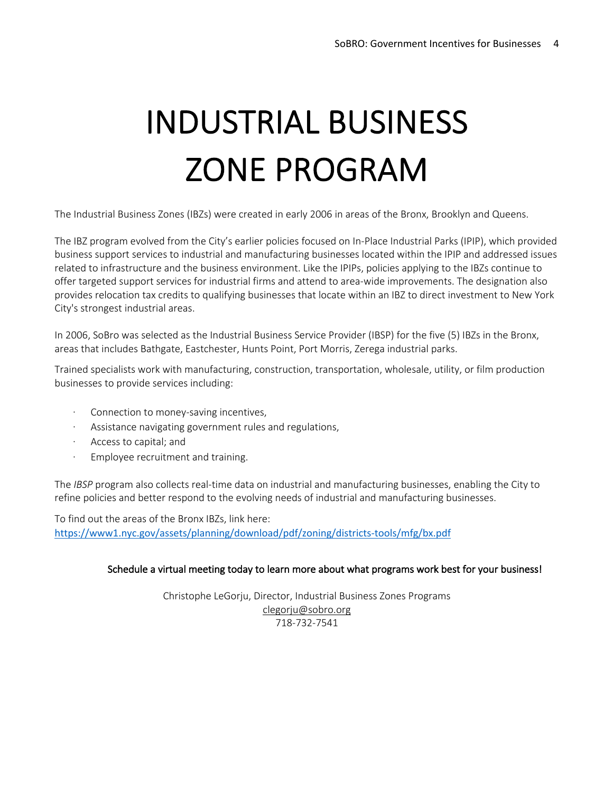## INDUSTRIAL BUSINESS ZONE PROGRAM

The Industrial Business Zones (IBZs) were created in early 2006 in areas of the Bronx, Brooklyn and Queens.

The IBZ program evolved from the City's earlier policies focused on In-Place Industrial Parks (IPIP), which provided business support services to industrial and manufacturing businesses located within the IPIP and addressed issues related to infrastructure and the business environment. Like the IPIPs, policies applying to the IBZs continue to offer targeted support services for industrial firms and attend to area-wide improvements. The designation also provides relocation tax credits to qualifying businesses that locate within an IBZ to direct investment to New York City's strongest industrial areas.

In 2006, SoBro was selected as the Industrial Business Service Provider (IBSP) for the five (5) IBZs in the Bronx, areas that includes Bathgate, Eastchester, Hunts Point, Port Morris, Zerega industrial parks.

Trained specialists work with manufacturing, construction, transportation, wholesale, utility, or film production businesses to provide services including:

- Connection to money-saving incentives,
- · Assistance navigating government rules and regulations,
- Access to capital; and
- Employee recruitment and training.

The *IBSP* program also collects real-time data on industrial and manufacturing businesses, enabling the City to refine policies and better respond to the evolving needs of industrial and manufacturing businesses.

To find out the areas of the Bronx IBZs, link here: https://www1.nyc.gov/assets/planning/download/pdf/zoning/districts-tools/mfg/bx.pdf

### Schedule a virtual meeting today to learn more about what programs work best for your business!

Christophe LeGorju, Director, Industrial Business Zones Programs clegorju@sobro.org 718-732-7541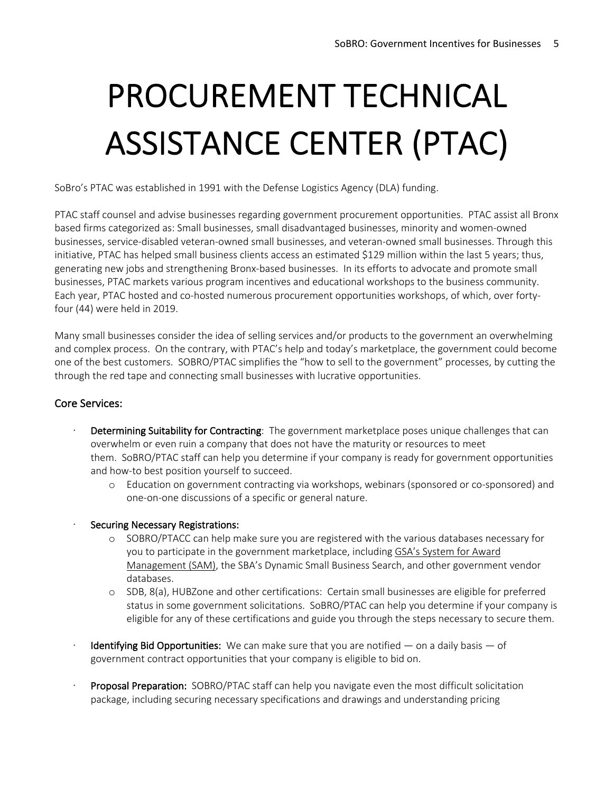## PROCUREMENT TECHNICAL ASSISTANCE CENTER (PTAC)

SoBro's PTAC was established in 1991 with the Defense Logistics Agency (DLA) funding.

PTAC staff counsel and advise businesses regarding government procurement opportunities. PTAC assist all Bronx based firms categorized as: Small businesses, small disadvantaged businesses, minority and women-owned businesses, service-disabled veteran-owned small businesses, and veteran-owned small businesses. Through this initiative, PTAC has helped small business clients access an estimated \$129 million within the last 5 years; thus, generating new jobs and strengthening Bronx-based businesses. In its efforts to advocate and promote small businesses, PTAC markets various program incentives and educational workshops to the business community. Each year, PTAC hosted and co-hosted numerous procurement opportunities workshops, of which, over fortyfour (44) were held in 2019.

Many small businesses consider the idea of selling services and/or products to the government an overwhelming and complex process. On the contrary, with PTAC's help and today's marketplace, the government could become one of the best customers. SOBRO/PTAC simplifies the "how to sell to the government" processes, by cutting the through the red tape and connecting small businesses with lucrative opportunities.

### Core Services:

- Determining Suitability for Contracting: The government marketplace poses unique challenges that can overwhelm or even ruin a company that does not have the maturity or resources to meet them. SoBRO/PTAC staff can help you determine if your company is ready for government opportunities and how-to best position yourself to succeed.
	- o Education on government contracting via workshops, webinars (sponsored or co-sponsored) and one-on-one discussions of a specific or general nature.
- Securing Necessary Registrations:
	- o SOBRO/PTACC can help make sure you are registered with the various databases necessary for you to participate in the government marketplace, including GSA's System for Award Management (SAM), the SBA's Dynamic Small Business Search, and other government vendor databases.
	- o SDB, 8(a), HUBZone and other certifications: Certain small businesses are eligible for preferred status in some government solicitations. SoBRO/PTAC can help you determine if your company is eligible for any of these certifications and guide you through the steps necessary to secure them.
- Identifying Bid Opportunities: We can make sure that you are notified  $-$  on a daily basis  $-$  of government contract opportunities that your company is eligible to bid on.
- Proposal Preparation: SOBRO/PTAC staff can help you navigate even the most difficult solicitation package, including securing necessary specifications and drawings and understanding pricing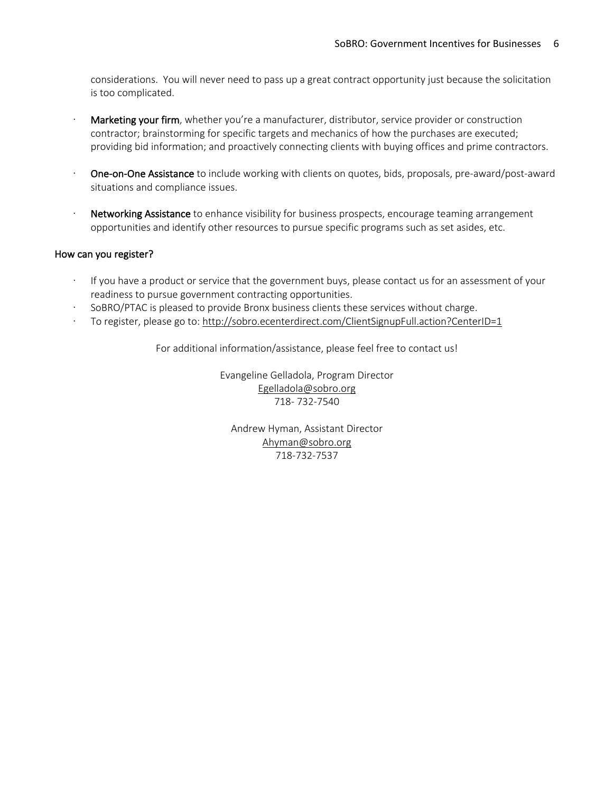considerations. You will never need to pass up a great contract opportunity just because the solicitation is too complicated.

- Marketing your firm, whether you're a manufacturer, distributor, service provider or construction contractor; brainstorming for specific targets and mechanics of how the purchases are executed; providing bid information; and proactively connecting clients with buying offices and prime contractors.
- One-on-One Assistance to include working with clients on quotes, bids, proposals, pre-award/post-award situations and compliance issues.
- Networking Assistance to enhance visibility for business prospects, encourage teaming arrangement opportunities and identify other resources to pursue specific programs such as set asides, etc.

### How can you register?

- If you have a product or service that the government buys, please contact us for an assessment of your readiness to pursue government contracting opportunities.
- · SoBRO/PTAC is pleased to provide Bronx business clients these services without charge.
- To register, please go to: http://sobro.ecenterdirect.com/ClientSignupFull.action?CenterID=1

For additional information/assistance, please feel free to contact us!

Evangeline Gelladola, Program Director Egelladola@sobro.org 718- 732-7540

Andrew Hyman, Assistant Director Ahyman@sobro.org 718-732-7537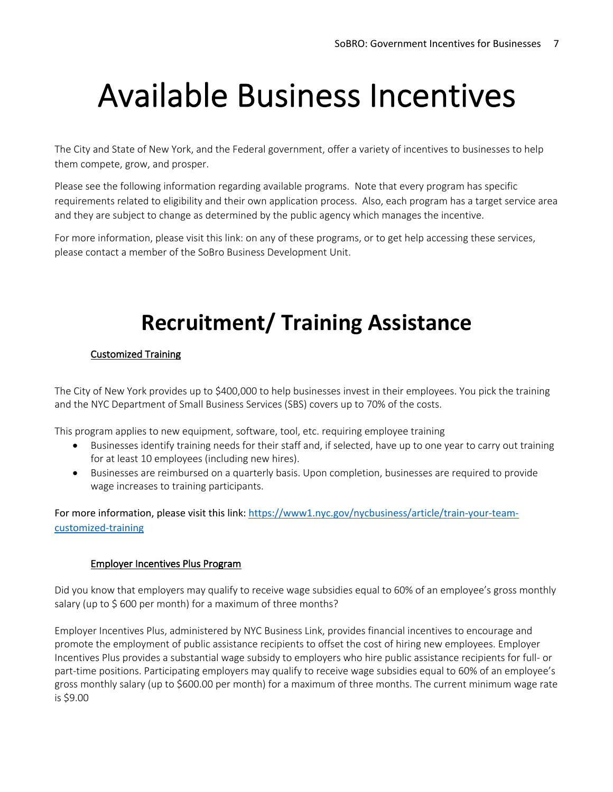## Available Business Incentives

The City and State of New York, and the Federal government, offer a variety of incentives to businesses to help them compete, grow, and prosper.

Please see the following information regarding available programs. Note that every program has specific requirements related to eligibility and their own application process. Also, each program has a target service area and they are subject to change as determined by the public agency which manages the incentive.

For more information, please visit this link: on any of these programs, or to get help accessing these services, please contact a member of the SoBro Business Development Unit.

## **Recruitment/ Training Assistance**

### Customized Training

The City of New York provides up to \$400,000 to help businesses invest in their employees. You pick the training and the NYC Department of Small Business Services (SBS) covers up to 70% of the costs.

This program applies to new equipment, software, tool, etc. requiring employee training

- Businesses identify training needs for their staff and, if selected, have up to one year to carry out training for at least 10 employees (including new hires).
- Businesses are reimbursed on a quarterly basis. Upon completion, businesses are required to provide wage increases to training participants.

For more information, please visit this link: https://www1.nyc.gov/nycbusiness/article/train-your-teamcustomized-training

### Employer Incentives Plus Program

Did you know that employers may qualify to receive wage subsidies equal to 60% of an employee's gross monthly salary (up to \$600 per month) for a maximum of three months?

Employer Incentives Plus, administered by NYC Business Link, provides financial incentives to encourage and promote the employment of public assistance recipients to offset the cost of hiring new employees. Employer Incentives Plus provides a substantial wage subsidy to employers who hire public assistance recipients for full- or part-time positions. Participating employers may qualify to receive wage subsidies equal to 60% of an employee's gross monthly salary (up to \$600.00 per month) for a maximum of three months. The current minimum wage rate is \$9.00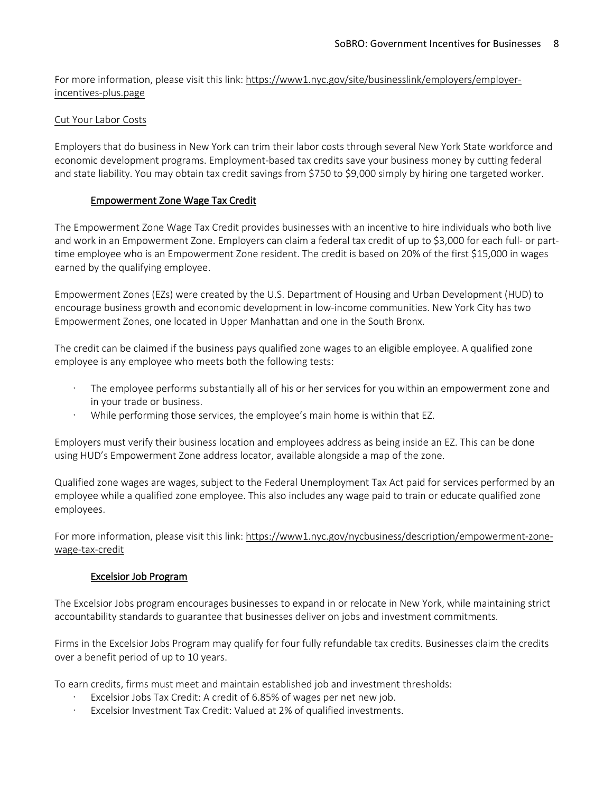For more information, please visit this link: https://www1.nyc.gov/site/businesslink/employers/employerincentives-plus.page

### Cut Your Labor Costs

Employers that do business in New York can trim their labor costs through several New York State workforce and economic development programs. Employment-based tax credits save your business money by cutting federal and state liability. You may obtain tax credit savings from \$750 to \$9,000 simply by hiring one targeted worker.

### Empowerment Zone Wage Tax Credit

The Empowerment Zone Wage Tax Credit provides businesses with an incentive to hire individuals who both live and work in an Empowerment Zone. Employers can claim a federal tax credit of up to \$3,000 for each full- or parttime employee who is an Empowerment Zone resident. The credit is based on 20% of the first \$15,000 in wages earned by the qualifying employee.

Empowerment Zones (EZs) were created by the U.S. Department of Housing and Urban Development (HUD) to encourage business growth and economic development in low-income communities. New York City has two Empowerment Zones, one located in Upper Manhattan and one in the South Bronx.

The credit can be claimed if the business pays qualified zone wages to an eligible employee. A qualified zone employee is any employee who meets both the following tests:

- The employee performs substantially all of his or her services for you within an empowerment zone and in your trade or business.
- · While performing those services, the employee's main home is within that EZ.

Employers must verify their business location and employees address as being inside an EZ. This can be done using HUD's Empowerment Zone address locator, available alongside a map of the zone.

Qualified zone wages are wages, subject to the Federal Unemployment Tax Act paid for services performed by an employee while a qualified zone employee. This also includes any wage paid to train or educate qualified zone employees.

For more information, please visit this link: https://www1.nyc.gov/nycbusiness/description/empowerment-zonewage-tax-credit

### Excelsior Job Program

The Excelsior Jobs program encourages businesses to expand in or relocate in New York, while maintaining strict accountability standards to guarantee that businesses deliver on jobs and investment commitments.

Firms in the Excelsior Jobs Program may qualify for four fully refundable tax credits. Businesses claim the credits over a benefit period of up to 10 years.

To earn credits, firms must meet and maintain established job and investment thresholds:

- Excelsior Jobs Tax Credit: A credit of 6.85% of wages per net new job.
- · Excelsior Investment Tax Credit: Valued at 2% of qualified investments.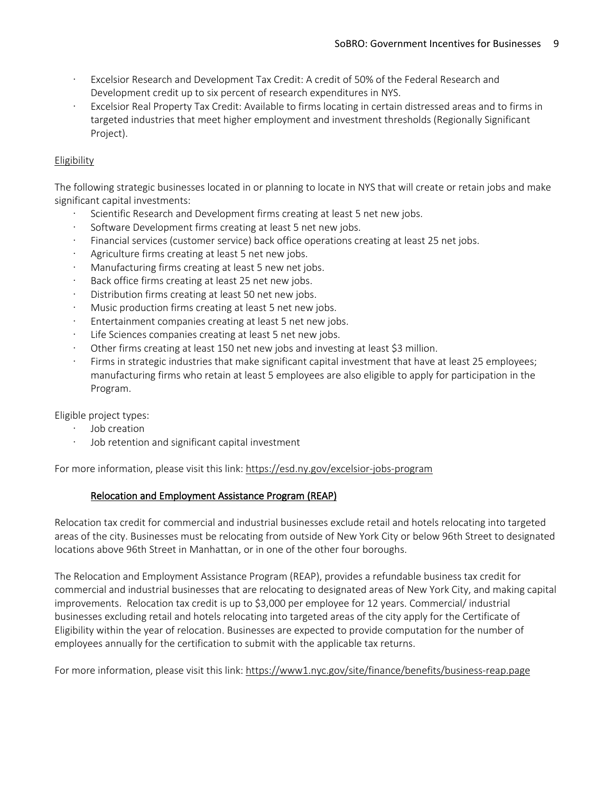- Excelsior Research and Development Tax Credit: A credit of 50% of the Federal Research and Development credit up to six percent of research expenditures in NYS.
- Excelsior Real Property Tax Credit: Available to firms locating in certain distressed areas and to firms in targeted industries that meet higher employment and investment thresholds (Regionally Significant Project).

### Eligibility

The following strategic businesses located in or planning to locate in NYS that will create or retain jobs and make significant capital investments:

- Scientific Research and Development firms creating at least 5 net new jobs.
- Software Development firms creating at least 5 net new jobs.
- Financial services (customer service) back office operations creating at least 25 net jobs.
- Agriculture firms creating at least 5 net new jobs.
- Manufacturing firms creating at least 5 new net jobs.
- Back office firms creating at least 25 net new jobs.
- Distribution firms creating at least 50 net new jobs.
- Music production firms creating at least 5 net new jobs.
- Entertainment companies creating at least 5 net new jobs.
- · Life Sciences companies creating at least 5 net new jobs.
- · Other firms creating at least 150 net new jobs and investing at least \$3 million.
- Firms in strategic industries that make significant capital investment that have at least 25 employees; manufacturing firms who retain at least 5 employees are also eligible to apply for participation in the Program.

Eligible project types:

- · Job creation
- Job retention and significant capital investment

For more information, please visit this link: https://esd.ny.gov/excelsior-jobs-program

### Relocation and Employment Assistance Program (REAP)

Relocation tax credit for commercial and industrial businesses exclude retail and hotels relocating into targeted areas of the city. Businesses must be relocating from outside of New York City or below 96th Street to designated locations above 96th Street in Manhattan, or in one of the other four boroughs.

The Relocation and Employment Assistance Program (REAP), provides a refundable business tax credit for commercial and industrial businesses that are relocating to designated areas of New York City, and making capital improvements. Relocation tax credit is up to \$3,000 per employee for 12 years. Commercial/ industrial businesses excluding retail and hotels relocating into targeted areas of the city apply for the Certificate of Eligibility within the year of relocation. Businesses are expected to provide computation for the number of employees annually for the certification to submit with the applicable tax returns.

For more information, please visit this link: https://www1.nyc.gov/site/finance/benefits/business-reap.page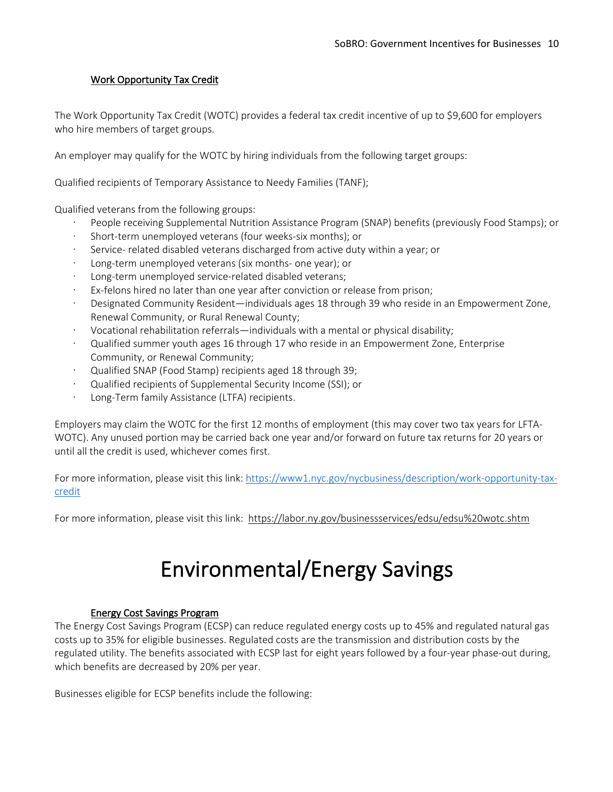### Work Opportunity Tax Credit

The Work Opportunity Tax Credit (WOTC) provides a federal tax credit incentive of up to \$9,600 for employers who hire members of target groups.

An employer may qualify for the WOTC by hiring individuals from the following target groups:

Qualified recipients of Temporary Assistance to Needy Families (TANF);

Qualified veterans from the following groups:

- People receiving Supplemental Nutrition Assistance Program (SNAP) benefits (previously Food Stamps); or
- · Short-term unemployed veterans (four weeks-six months); or
- · Service- related disabled veterans discharged from active duty within a year; or
- Long-term unemployed veterans (six months- one year); or
- Long-term unemployed service-related disabled veterans;
- Ex-felons hired no later than one year after conviction or release from prison;
- · Designated Community Resident—individuals ages 18 through 39 who reside in an Empowerment Zone, Renewal Community, or Rural Renewal County;
- · Vocational rehabilitation referrals—individuals with a mental or physical disability;
- · Qualified summer youth ages 16 through 17 who reside in an Empowerment Zone, Enterprise Community, or Renewal Community;
- · Qualified SNAP (Food Stamp) recipients aged 18 through 39;
- · Qualified recipients of Supplemental Security Income (SSI); or
- · Long-Term family Assistance (LTFA) recipients.

Employers may claim the WOTC for the first 12 months of employment (this may cover two tax years for LFTA-WOTC). Any unused portion may be carried back one year and/or forward on future tax returns for 20 years or until all the credit is used, whichever comes first.

For more information, please visit this link: https://www1.nyc.gov/nycbusiness/description/work-opportunity-taxcredit

For more information, please visit this link: https://labor.ny.gov/businessservices/edsu/edsu%20wotc.shtm

### Environmental/Energy Savings

#### Energy Cost Savings Program

The Energy Cost Savings Program (ECSP) can reduce regulated energy costs up to 45% and regulated natural gas costs up to 35% for eligible businesses. Regulated costs are the transmission and distribution costs by the regulated utility. The benefits associated with ECSP last for eight years followed by a four-year phase-out during, which benefits are decreased by 20% per year.

Businesses eligible for ECSP benefits include the following: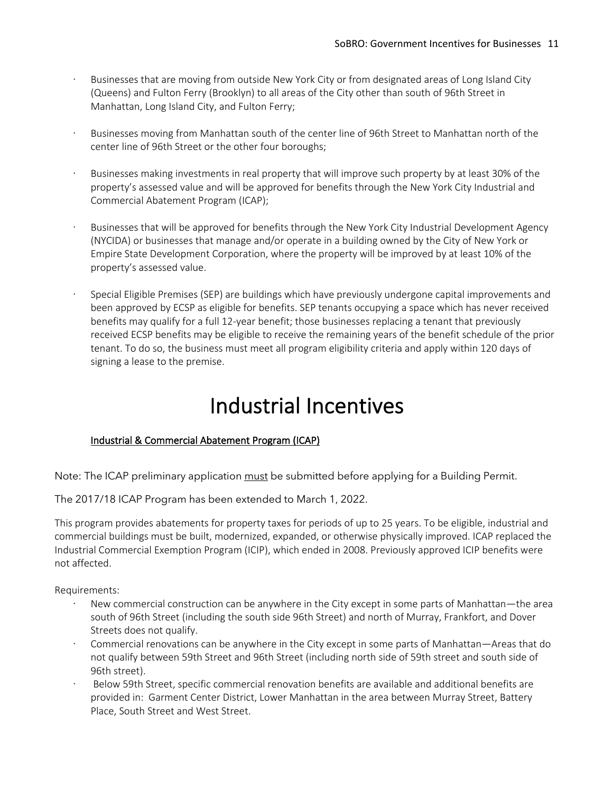- Businesses that are moving from outside New York City or from designated areas of Long Island City (Queens) and Fulton Ferry (Brooklyn) to all areas of the City other than south of 96th Street in Manhattan, Long Island City, and Fulton Ferry;
- Businesses moving from Manhattan south of the center line of 96th Street to Manhattan north of the center line of 96th Street or the other four boroughs;
- Businesses making investments in real property that will improve such property by at least 30% of the property's assessed value and will be approved for benefits through the New York City Industrial and Commercial Abatement Program (ICAP);
- Businesses that will be approved for benefits through the New York City Industrial Development Agency (NYCIDA) or businesses that manage and/or operate in a building owned by the City of New York or Empire State Development Corporation, where the property will be improved by at least 10% of the property's assessed value.
- · Special Eligible Premises (SEP) are buildings which have previously undergone capital improvements and been approved by ECSP as eligible for benefits. SEP tenants occupying a space which has never received benefits may qualify for a full 12-year benefit; those businesses replacing a tenant that previously received ECSP benefits may be eligible to receive the remaining years of the benefit schedule of the prior tenant. To do so, the business must meet all program eligibility criteria and apply within 120 days of signing a lease to the premise.

### Industrial Incentives

### Industrial & Commercial Abatement Program (ICAP)

Note: The ICAP preliminary application must be submitted before applying for a Building Permit.

The 2017/18 ICAP Program has been extended to March 1, 2022.

This program provides abatements for property taxes for periods of up to 25 years. To be eligible, industrial and commercial buildings must be built, modernized, expanded, or otherwise physically improved. ICAP replaced the Industrial Commercial Exemption Program (ICIP), which ended in 2008. Previously approved ICIP benefits were not affected.

Requirements:

- New commercial construction can be anywhere in the City except in some parts of Manhattan—the area south of 96th Street (including the south side 96th Street) and north of Murray, Frankfort, and Dover Streets does not qualify.
- · Commercial renovations can be anywhere in the City except in some parts of Manhattan—Areas that do not qualify between 59th Street and 96th Street (including north side of 59th street and south side of 96th street).
- · Below 59th Street, specific commercial renovation benefits are available and additional benefits are provided in: Garment Center District, Lower Manhattan in the area between Murray Street, Battery Place, South Street and West Street.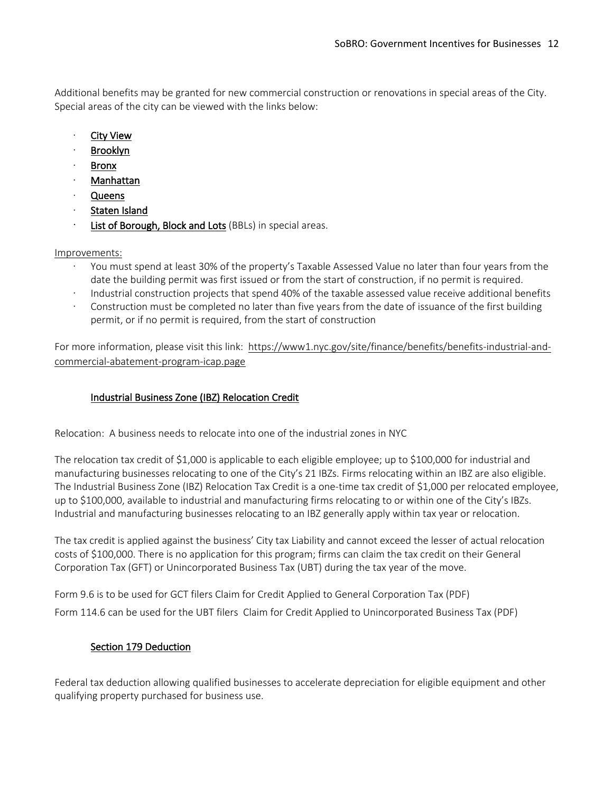Additional benefits may be granted for new commercial construction or renovations in special areas of the City. Special areas of the city can be viewed with the links below:

- **City View**
- · Brooklyn
- · Bronx
- · Manhattan
- · Queens
- Staten Island
- List of Borough, Block and Lots (BBLs) in special areas.

### Improvements:

- · You must spend at least 30% of the property's Taxable Assessed Value no later than four years from the date the building permit was first issued or from the start of construction, if no permit is required.
- · Industrial construction projects that spend 40% of the taxable assessed value receive additional benefits
- Construction must be completed no later than five years from the date of issuance of the first building permit, or if no permit is required, from the start of construction

For more information, please visit this link: https://www1.nyc.gov/site/finance/benefits/benefits-industrial-andcommercial-abatement-program-icap.page

### Industrial Business Zone (IBZ) Relocation Credit

Relocation: A business needs to relocate into one of the industrial zones in NYC

The relocation tax credit of \$1,000 is applicable to each eligible employee; up to \$100,000 for industrial and manufacturing businesses relocating to one of the City's 21 IBZs. Firms relocating within an IBZ are also eligible. The Industrial Business Zone (IBZ) Relocation Tax Credit is a one-time tax credit of \$1,000 per relocated employee, up to \$100,000, available to industrial and manufacturing firms relocating to or within one of the City's IBZs. Industrial and manufacturing businesses relocating to an IBZ generally apply within tax year or relocation.

The tax credit is applied against the business' City tax Liability and cannot exceed the lesser of actual relocation costs of \$100,000. There is no application for this program; firms can claim the tax credit on their General Corporation Tax (GFT) or Unincorporated Business Tax (UBT) during the tax year of the move.

Form 9.6 is to be used for GCT filers Claim for Credit Applied to General Corporation Tax (PDF) Form 114.6 can be used for the UBT filers Claim for Credit Applied to Unincorporated Business Tax (PDF)

### Section 179 Deduction

Federal tax deduction allowing qualified businesses to accelerate depreciation for eligible equipment and other qualifying property purchased for business use.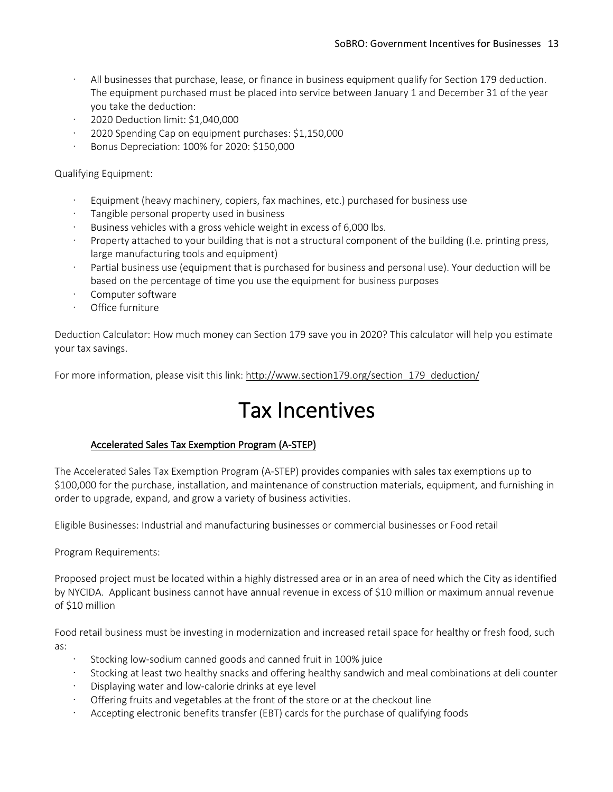- All businesses that purchase, lease, or finance in business equipment qualify for Section 179 deduction. The equipment purchased must be placed into service between January 1 and December 31 of the year you take the deduction:
- · 2020 Deduction limit: \$1,040,000
- · 2020 Spending Cap on equipment purchases: \$1,150,000
- · Bonus Depreciation: 100% for 2020: \$150,000

Qualifying Equipment:

- Equipment (heavy machinery, copiers, fax machines, etc.) purchased for business use
- · Tangible personal property used in business
- Business vehicles with a gross vehicle weight in excess of 6,000 lbs.
- · Property attached to your building that is not a structural component of the building (I.e. printing press, large manufacturing tools and equipment)
- Partial business use (equipment that is purchased for business and personal use). Your deduction will be based on the percentage of time you use the equipment for business purposes
- Computer software
- Office furniture

Deduction Calculator: How much money can Section 179 save you in 2020? This calculator will help you estimate your tax savings.

For more information, please visit this link: http://www.section179.org/section 179\_deduction/

### Tax Incentives

### Accelerated Sales Tax Exemption Program (A-STEP)

The Accelerated Sales Tax Exemption Program (A-STEP) provides companies with sales tax exemptions up to \$100,000 for the purchase, installation, and maintenance of construction materials, equipment, and furnishing in order to upgrade, expand, and grow a variety of business activities.

Eligible Businesses: Industrial and manufacturing businesses or commercial businesses or Food retail

Program Requirements:

Proposed project must be located within a highly distressed area or in an area of need which the City as identified by NYCIDA. Applicant business cannot have annual revenue in excess of \$10 million or maximum annual revenue of \$10 million

Food retail business must be investing in modernization and increased retail space for healthy or fresh food, such as:

- Stocking low-sodium canned goods and canned fruit in 100% juice
- · Stocking at least two healthy snacks and offering healthy sandwich and meal combinations at deli counter
- Displaying water and low-calorie drinks at eye level
- · Offering fruits and vegetables at the front of the store or at the checkout line
- Accepting electronic benefits transfer (EBT) cards for the purchase of qualifying foods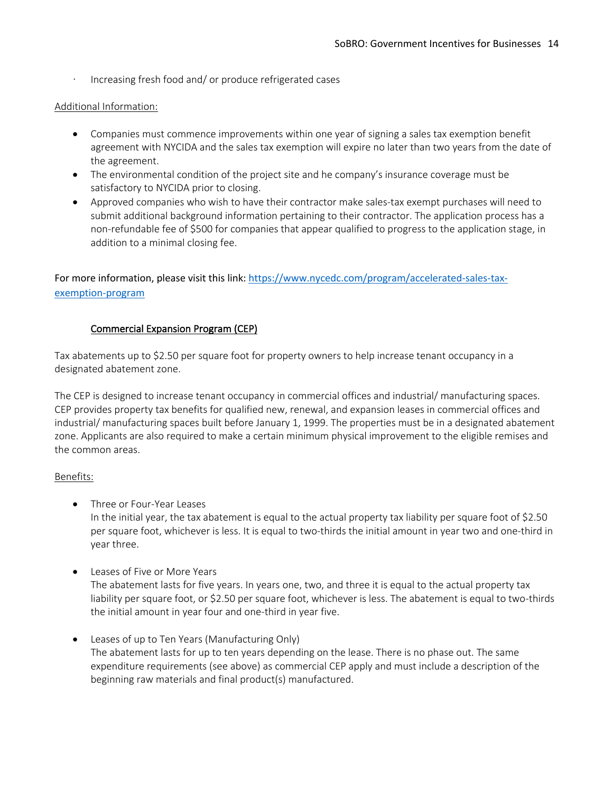Increasing fresh food and/ or produce refrigerated cases

### Additional Information:

- Companies must commence improvements within one year of signing a sales tax exemption benefit agreement with NYCIDA and the sales tax exemption will expire no later than two years from the date of the agreement.
- The environmental condition of the project site and he company's insurance coverage must be satisfactory to NYCIDA prior to closing.
- Approved companies who wish to have their contractor make sales-tax exempt purchases will need to submit additional background information pertaining to their contractor. The application process has a non-refundable fee of \$500 for companies that appear qualified to progress to the application stage, in addition to a minimal closing fee.

For more information, please visit this link: https://www.nycedc.com/program/accelerated-sales-taxexemption-program

### Commercial Expansion Program (CEP)

Tax abatements up to \$2.50 per square foot for property owners to help increase tenant occupancy in a designated abatement zone.

The CEP is designed to increase tenant occupancy in commercial offices and industrial/ manufacturing spaces. CEP provides property tax benefits for qualified new, renewal, and expansion leases in commercial offices and industrial/ manufacturing spaces built before January 1, 1999. The properties must be in a designated abatement zone. Applicants are also required to make a certain minimum physical improvement to the eligible remises and the common areas.

### Benefits:

• Three or Four-Year Leases

In the initial year, the tax abatement is equal to the actual property tax liability per square foot of \$2.50 per square foot, whichever is less. It is equal to two-thirds the initial amount in year two and one-third in year three.

- Leases of Five or More Years The abatement lasts for five years. In years one, two, and three it is equal to the actual property tax liability per square foot, or \$2.50 per square foot, whichever is less. The abatement is equal to two-thirds the initial amount in year four and one-third in year five.
- Leases of up to Ten Years (Manufacturing Only) The abatement lasts for up to ten years depending on the lease. There is no phase out. The same expenditure requirements (see above) as commercial CEP apply and must include a description of the beginning raw materials and final product(s) manufactured.